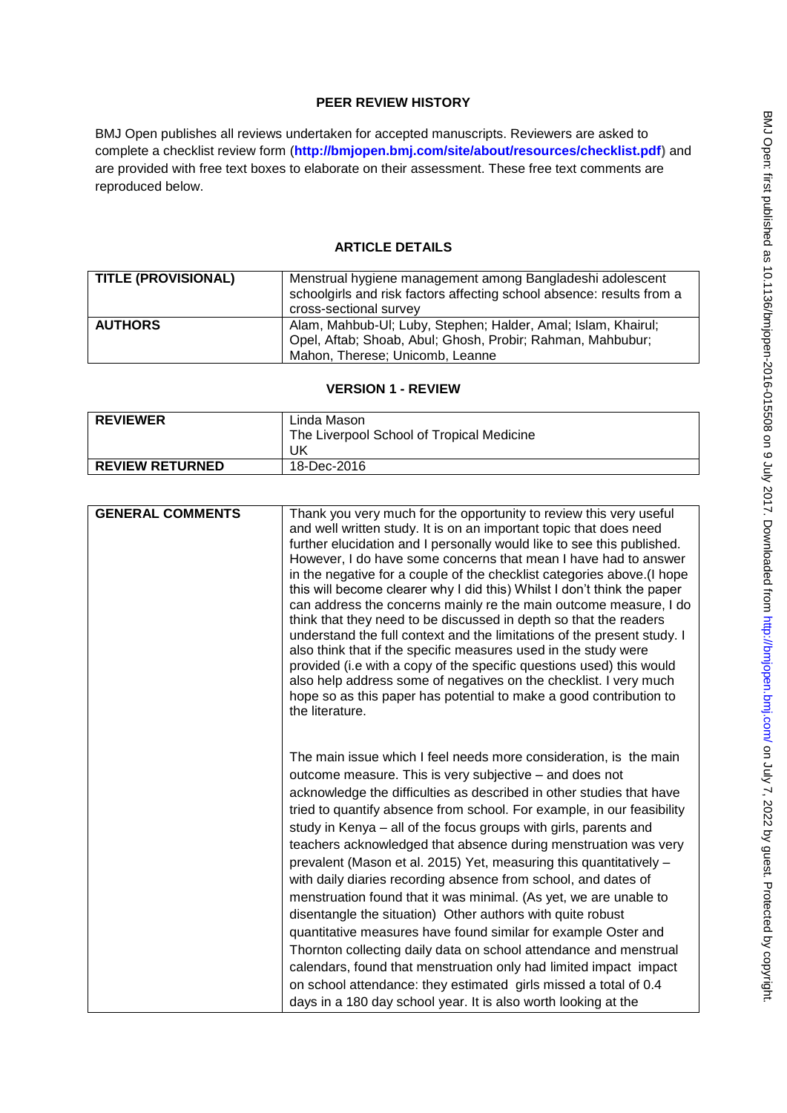# **PEER REVIEW HISTORY**

BMJ Open publishes all reviews undertaken for accepted manuscripts. Reviewers are asked to complete a checklist review form (**[http://bmjopen.bmj.com/site/about/resources/checklist.pdf\)](http://bmjopen.bmj.com/site/about/resources/checklist.pdf)** and are provided with free text boxes to elaborate on their assessment. These free text comments are reproduced below.

# **ARTICLE DETAILS**

| <b>TITLE (PROVISIONAL)</b> | Menstrual hygiene management among Bangladeshi adolescent<br>schoolgirls and risk factors affecting school absence: results from a<br>cross-sectional survey   |
|----------------------------|----------------------------------------------------------------------------------------------------------------------------------------------------------------|
| <b>AUTHORS</b>             | Alam, Mahbub-UI; Luby, Stephen; Halder, Amal; Islam, Khairul;<br>Opel, Aftab; Shoab, Abul; Ghosh, Probir; Rahman, Mahbubur;<br>Mahon, Therese; Unicomb, Leanne |

## **VERSION 1 - REVIEW**

| <b>REVIEWER</b>        | Linda Mason                               |
|------------------------|-------------------------------------------|
|                        | The Liverpool School of Tropical Medicine |
|                        | UK                                        |
| <b>REVIEW RETURNED</b> | 18-Dec-2016                               |

| <b>GENERAL COMMENTS</b> | Thank you very much for the opportunity to review this very useful<br>and well written study. It is on an important topic that does need<br>further elucidation and I personally would like to see this published.<br>However, I do have some concerns that mean I have had to answer<br>in the negative for a couple of the checklist categories above. (I hope<br>this will become clearer why I did this) Whilst I don't think the paper<br>can address the concerns mainly re the main outcome measure, I do<br>think that they need to be discussed in depth so that the readers<br>understand the full context and the limitations of the present study. I<br>also think that if the specific measures used in the study were<br>provided (i.e with a copy of the specific questions used) this would<br>also help address some of negatives on the checklist. I very much<br>hope so as this paper has potential to make a good contribution to<br>the literature.                                                                          |
|-------------------------|----------------------------------------------------------------------------------------------------------------------------------------------------------------------------------------------------------------------------------------------------------------------------------------------------------------------------------------------------------------------------------------------------------------------------------------------------------------------------------------------------------------------------------------------------------------------------------------------------------------------------------------------------------------------------------------------------------------------------------------------------------------------------------------------------------------------------------------------------------------------------------------------------------------------------------------------------------------------------------------------------------------------------------------------------|
|                         | The main issue which I feel needs more consideration, is the main<br>outcome measure. This is very subjective - and does not<br>acknowledge the difficulties as described in other studies that have<br>tried to quantify absence from school. For example, in our feasibility<br>study in Kenya - all of the focus groups with girls, parents and<br>teachers acknowledged that absence during menstruation was very<br>prevalent (Mason et al. 2015) Yet, measuring this quantitatively -<br>with daily diaries recording absence from school, and dates of<br>menstruation found that it was minimal. (As yet, we are unable to<br>disentangle the situation) Other authors with quite robust<br>quantitative measures have found similar for example Oster and<br>Thornton collecting daily data on school attendance and menstrual<br>calendars, found that menstruation only had limited impact impact<br>on school attendance: they estimated girls missed a total of 0.4<br>days in a 180 day school year. It is also worth looking at the |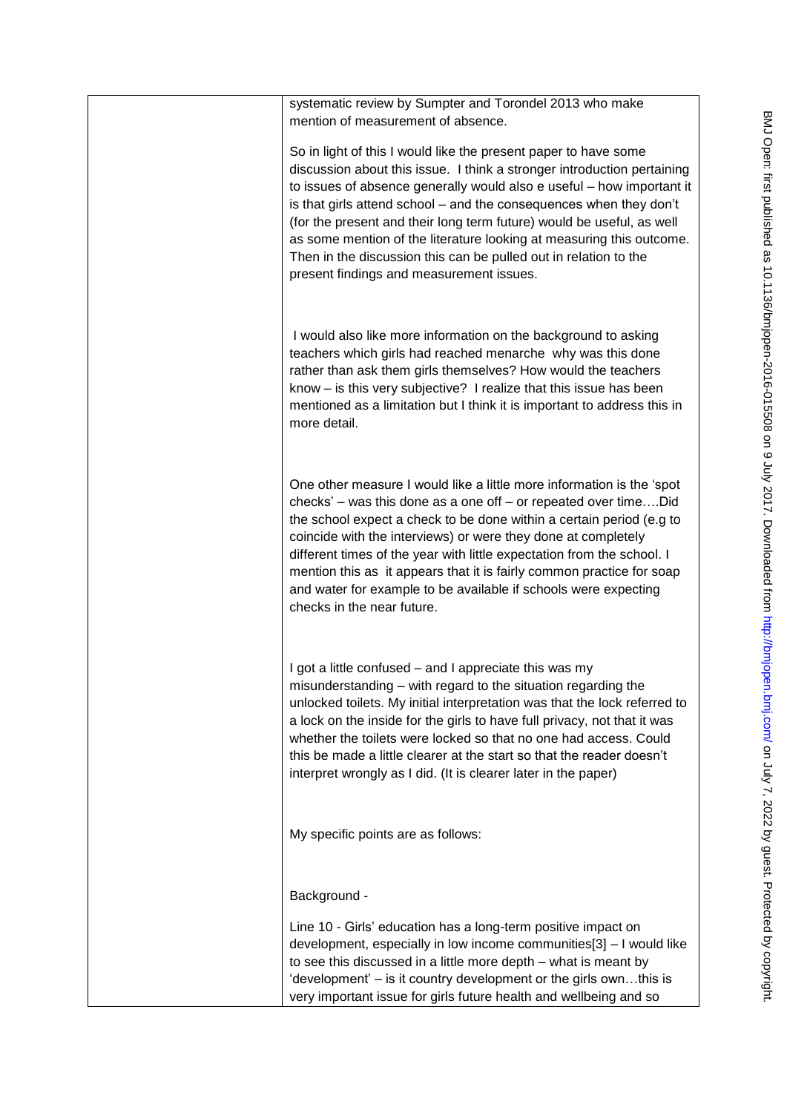| systematic review by Sumpter and Torondel 2013 who make<br>mention of measurement of absence.                                                                                                                                                                                                                                                                                                                                                                                                                                                              |
|------------------------------------------------------------------------------------------------------------------------------------------------------------------------------------------------------------------------------------------------------------------------------------------------------------------------------------------------------------------------------------------------------------------------------------------------------------------------------------------------------------------------------------------------------------|
| So in light of this I would like the present paper to have some<br>discussion about this issue. I think a stronger introduction pertaining<br>to issues of absence generally would also e useful - how important it<br>is that girls attend school - and the consequences when they don't<br>(for the present and their long term future) would be useful, as well<br>as some mention of the literature looking at measuring this outcome.<br>Then in the discussion this can be pulled out in relation to the<br>present findings and measurement issues. |
| I would also like more information on the background to asking<br>teachers which girls had reached menarche why was this done<br>rather than ask them girls themselves? How would the teachers<br>know - is this very subjective? I realize that this issue has been<br>mentioned as a limitation but I think it is important to address this in<br>more detail.                                                                                                                                                                                           |
| One other measure I would like a little more information is the 'spot<br>checks' – was this done as a one off – or repeated over timeDid<br>the school expect a check to be done within a certain period (e.g to<br>coincide with the interviews) or were they done at completely<br>different times of the year with little expectation from the school. I<br>mention this as it appears that it is fairly common practice for soap<br>and water for example to be available if schools were expecting<br>checks in the near future.                      |
| I got a little confused – and I appreciate this was my<br>misunderstanding – with regard to the situation regarding the<br>unlocked toilets. My initial interpretation was that the lock referred to<br>a lock on the inside for the girls to have full privacy, not that it was<br>whether the toilets were locked so that no one had access. Could<br>this be made a little clearer at the start so that the reader doesn't<br>interpret wrongly as I did. (It is clearer later in the paper)                                                            |
| My specific points are as follows:                                                                                                                                                                                                                                                                                                                                                                                                                                                                                                                         |
| Background -                                                                                                                                                                                                                                                                                                                                                                                                                                                                                                                                               |
| Line 10 - Girls' education has a long-term positive impact on<br>development, especially in low income communities[3] - I would like<br>to see this discussed in a little more depth - what is meant by<br>'development' – is it country development or the girls ownthis is<br>very important issue for girls future health and wellbeing and so                                                                                                                                                                                                          |
|                                                                                                                                                                                                                                                                                                                                                                                                                                                                                                                                                            |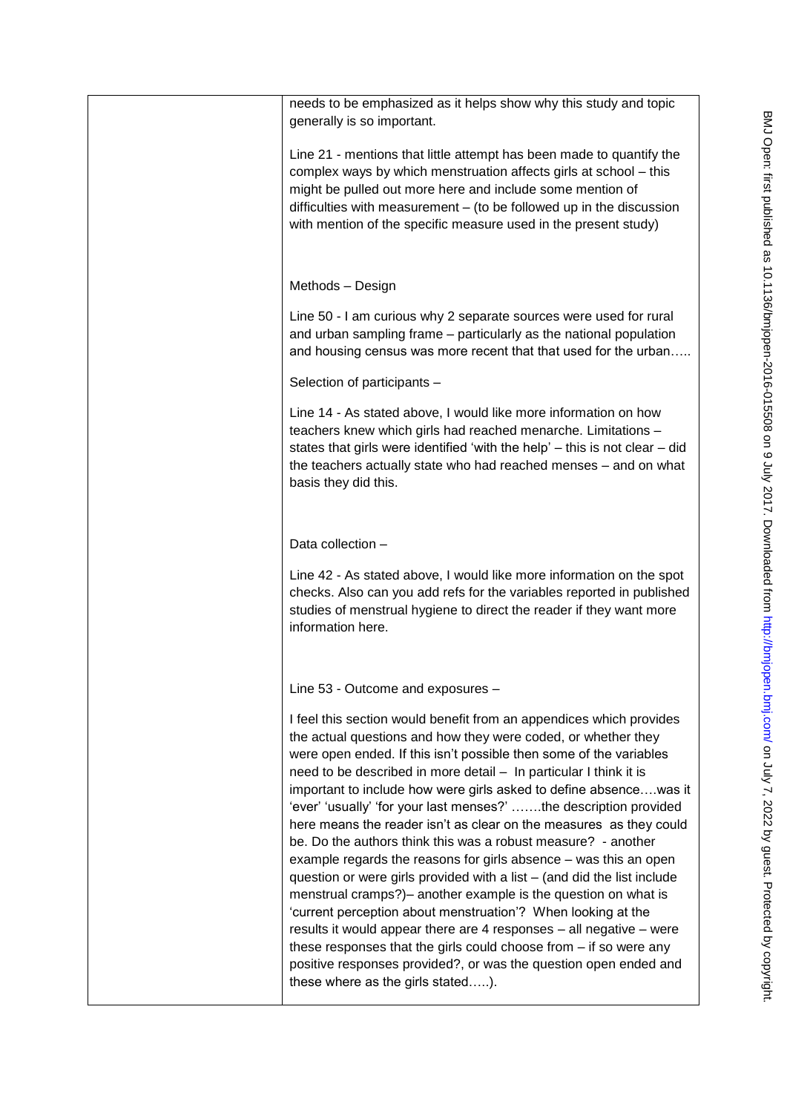| needs to be emphasized as it helps show why this study and topic<br>generally is so important.                                                                                                                                                                                                                                                                                                                                                                                                                                                                                                                                                                                                                                                                                                                                                                                                                                                                                                                                                                                                            |
|-----------------------------------------------------------------------------------------------------------------------------------------------------------------------------------------------------------------------------------------------------------------------------------------------------------------------------------------------------------------------------------------------------------------------------------------------------------------------------------------------------------------------------------------------------------------------------------------------------------------------------------------------------------------------------------------------------------------------------------------------------------------------------------------------------------------------------------------------------------------------------------------------------------------------------------------------------------------------------------------------------------------------------------------------------------------------------------------------------------|
| Line 21 - mentions that little attempt has been made to quantify the<br>complex ways by which menstruation affects girls at school - this<br>might be pulled out more here and include some mention of<br>difficulties with measurement – (to be followed up in the discussion<br>with mention of the specific measure used in the present study)                                                                                                                                                                                                                                                                                                                                                                                                                                                                                                                                                                                                                                                                                                                                                         |
| Methods - Design                                                                                                                                                                                                                                                                                                                                                                                                                                                                                                                                                                                                                                                                                                                                                                                                                                                                                                                                                                                                                                                                                          |
| Line 50 - I am curious why 2 separate sources were used for rural<br>and urban sampling frame – particularly as the national population<br>and housing census was more recent that that used for the urban                                                                                                                                                                                                                                                                                                                                                                                                                                                                                                                                                                                                                                                                                                                                                                                                                                                                                                |
| Selection of participants -                                                                                                                                                                                                                                                                                                                                                                                                                                                                                                                                                                                                                                                                                                                                                                                                                                                                                                                                                                                                                                                                               |
| Line 14 - As stated above, I would like more information on how<br>teachers knew which girls had reached menarche. Limitations -<br>states that girls were identified 'with the help' – this is not clear – did<br>the teachers actually state who had reached menses - and on what<br>basis they did this.                                                                                                                                                                                                                                                                                                                                                                                                                                                                                                                                                                                                                                                                                                                                                                                               |
| Data collection -                                                                                                                                                                                                                                                                                                                                                                                                                                                                                                                                                                                                                                                                                                                                                                                                                                                                                                                                                                                                                                                                                         |
| Line 42 - As stated above, I would like more information on the spot<br>checks. Also can you add refs for the variables reported in published<br>studies of menstrual hygiene to direct the reader if they want more<br>information here.                                                                                                                                                                                                                                                                                                                                                                                                                                                                                                                                                                                                                                                                                                                                                                                                                                                                 |
| Line 53 - Outcome and exposures -                                                                                                                                                                                                                                                                                                                                                                                                                                                                                                                                                                                                                                                                                                                                                                                                                                                                                                                                                                                                                                                                         |
| I feel this section would benefit from an appendices which provides<br>the actual questions and how they were coded, or whether they<br>were open ended. If this isn't possible then some of the variables<br>need to be described in more detail - In particular I think it is<br>important to include how were girls asked to define absencewas it<br>'ever' 'usually' 'for your last menses?' the description provided<br>here means the reader isn't as clear on the measures as they could<br>be. Do the authors think this was a robust measure? - another<br>example regards the reasons for girls absence - was this an open<br>question or were girls provided with a list - (and did the list include<br>menstrual cramps?) – another example is the question on what is<br>'current perception about menstruation'? When looking at the<br>results it would appear there are 4 responses - all negative - were<br>these responses that the girls could choose from $-$ if so were any<br>positive responses provided?, or was the question open ended and<br>these where as the girls stated). |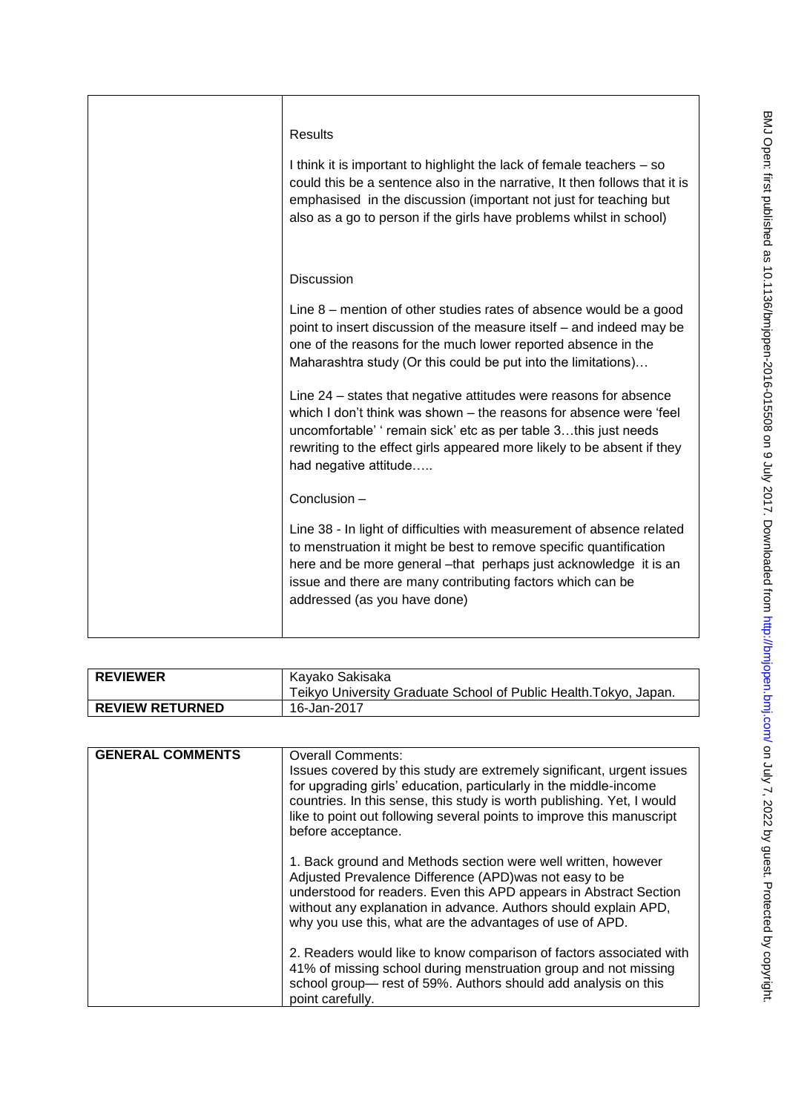| Results<br>I think it is important to highlight the lack of female teachers – so<br>could this be a sentence also in the narrative, It then follows that it is<br>emphasised in the discussion (important not just for teaching but<br>also as a go to person if the girls have problems whilst in school)                                                                                                                                                                                                                                                                                                                                                                                                                                                                                                                                                                                                                                             |
|--------------------------------------------------------------------------------------------------------------------------------------------------------------------------------------------------------------------------------------------------------------------------------------------------------------------------------------------------------------------------------------------------------------------------------------------------------------------------------------------------------------------------------------------------------------------------------------------------------------------------------------------------------------------------------------------------------------------------------------------------------------------------------------------------------------------------------------------------------------------------------------------------------------------------------------------------------|
| <b>Discussion</b><br>Line $8$ – mention of other studies rates of absence would be a good<br>point to insert discussion of the measure itself – and indeed may be<br>one of the reasons for the much lower reported absence in the<br>Maharashtra study (Or this could be put into the limitations)<br>Line 24 – states that negative attitudes were reasons for absence<br>which I don't think was shown – the reasons for absence were 'feel<br>uncomfortable' ' remain sick' etc as per table 3this just needs<br>rewriting to the effect girls appeared more likely to be absent if they<br>had negative attitude<br>Conclusion-<br>Line 38 - In light of difficulties with measurement of absence related<br>to menstruation it might be best to remove specific quantification<br>here and be more general -that perhaps just acknowledge it is an<br>issue and there are many contributing factors which can be<br>addressed (as you have done) |

| <b>REVIEWER</b>        | Kavako Sakisaka<br>Teikyo University Graduate School of Public Health. Tokyo, Japan. |
|------------------------|--------------------------------------------------------------------------------------|
| <b>REVIEW RETURNED</b> | 16-Jan-2017                                                                          |

| <b>GENERAL COMMENTS</b> | <b>Overall Comments:</b><br>Issues covered by this study are extremely significant, urgent issues<br>for upgrading girls' education, particularly in the middle-income                                                                                                                                                       |
|-------------------------|------------------------------------------------------------------------------------------------------------------------------------------------------------------------------------------------------------------------------------------------------------------------------------------------------------------------------|
|                         | countries. In this sense, this study is worth publishing. Yet, I would<br>like to point out following several points to improve this manuscript<br>before acceptance.                                                                                                                                                        |
|                         | 1. Back ground and Methods section were well written, however<br>Adjusted Prevalence Difference (APD) was not easy to be<br>understood for readers. Even this APD appears in Abstract Section<br>without any explanation in advance. Authors should explain APD,<br>why you use this, what are the advantages of use of APD. |
|                         | 2. Readers would like to know comparison of factors associated with<br>41% of missing school during menstruation group and not missing<br>school group— rest of 59%. Authors should add analysis on this<br>point carefully.                                                                                                 |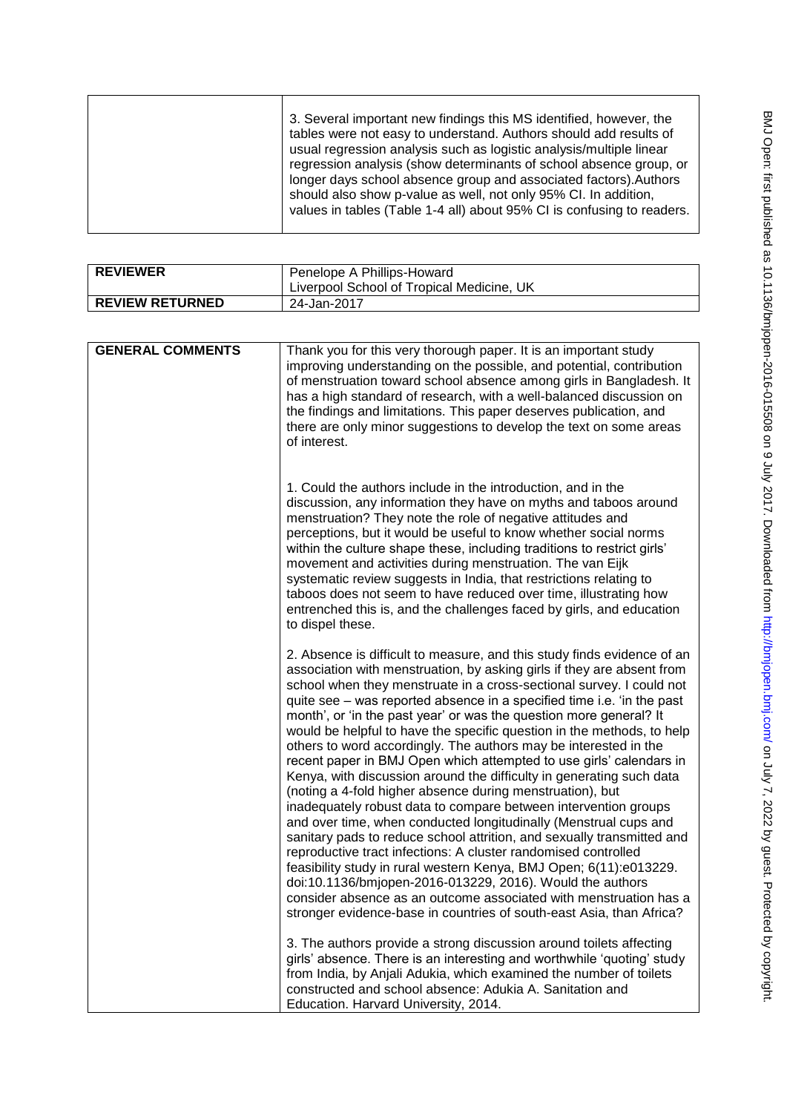|  | 3. Several important new findings this MS identified, however, the<br>tables were not easy to understand. Authors should add results of<br>usual regression analysis such as logistic analysis/multiple linear<br>regression analysis (show determinants of school absence group, or<br>longer days school absence group and associated factors). Authors<br>should also show p-value as well, not only 95% CI. In addition,<br>values in tables (Table 1-4 all) about 95% CI is confusing to readers. |
|--|--------------------------------------------------------------------------------------------------------------------------------------------------------------------------------------------------------------------------------------------------------------------------------------------------------------------------------------------------------------------------------------------------------------------------------------------------------------------------------------------------------|
|--|--------------------------------------------------------------------------------------------------------------------------------------------------------------------------------------------------------------------------------------------------------------------------------------------------------------------------------------------------------------------------------------------------------------------------------------------------------------------------------------------------------|

| <b>REVIEWER</b>         | Penelope A Phillips-Howard                                                                                                                                                                                                                                                                                                                                                                                                                                                                                                                                                                                                                                                                                                                                                                                                                                                                                                                                                                                                                                                                                                                                                                                                                                                                             |
|-------------------------|--------------------------------------------------------------------------------------------------------------------------------------------------------------------------------------------------------------------------------------------------------------------------------------------------------------------------------------------------------------------------------------------------------------------------------------------------------------------------------------------------------------------------------------------------------------------------------------------------------------------------------------------------------------------------------------------------------------------------------------------------------------------------------------------------------------------------------------------------------------------------------------------------------------------------------------------------------------------------------------------------------------------------------------------------------------------------------------------------------------------------------------------------------------------------------------------------------------------------------------------------------------------------------------------------------|
|                         | Liverpool School of Tropical Medicine, UK                                                                                                                                                                                                                                                                                                                                                                                                                                                                                                                                                                                                                                                                                                                                                                                                                                                                                                                                                                                                                                                                                                                                                                                                                                                              |
| <b>REVIEW RETURNED</b>  | 24-Jan-2017                                                                                                                                                                                                                                                                                                                                                                                                                                                                                                                                                                                                                                                                                                                                                                                                                                                                                                                                                                                                                                                                                                                                                                                                                                                                                            |
|                         |                                                                                                                                                                                                                                                                                                                                                                                                                                                                                                                                                                                                                                                                                                                                                                                                                                                                                                                                                                                                                                                                                                                                                                                                                                                                                                        |
| <b>GENERAL COMMENTS</b> | Thank you for this very thorough paper. It is an important study<br>improving understanding on the possible, and potential, contribution<br>of menstruation toward school absence among girls in Bangladesh. It<br>has a high standard of research, with a well-balanced discussion on<br>the findings and limitations. This paper deserves publication, and<br>there are only minor suggestions to develop the text on some areas<br>of interest.                                                                                                                                                                                                                                                                                                                                                                                                                                                                                                                                                                                                                                                                                                                                                                                                                                                     |
|                         | 1. Could the authors include in the introduction, and in the<br>discussion, any information they have on myths and taboos around<br>menstruation? They note the role of negative attitudes and<br>perceptions, but it would be useful to know whether social norms<br>within the culture shape these, including traditions to restrict girls'<br>movement and activities during menstruation. The van Eijk<br>systematic review suggests in India, that restrictions relating to<br>taboos does not seem to have reduced over time, illustrating how<br>entrenched this is, and the challenges faced by girls, and education<br>to dispel these.                                                                                                                                                                                                                                                                                                                                                                                                                                                                                                                                                                                                                                                       |
|                         | 2. Absence is difficult to measure, and this study finds evidence of an<br>association with menstruation, by asking girls if they are absent from<br>school when they menstruate in a cross-sectional survey. I could not<br>quite see - was reported absence in a specified time i.e. 'in the past<br>month', or 'in the past year' or was the question more general? It<br>would be helpful to have the specific question in the methods, to help<br>others to word accordingly. The authors may be interested in the<br>recent paper in BMJ Open which attempted to use girls' calendars in<br>Kenya, with discussion around the difficulty in generating such data<br>(noting a 4-fold higher absence during menstruation), but<br>inadequately robust data to compare between intervention groups<br>and over time, when conducted longitudinally (Menstrual cups and<br>sanitary pads to reduce school attrition, and sexually transmitted and<br>reproductive tract infections: A cluster randomised controlled<br>feasibility study in rural western Kenya, BMJ Open; 6(11):e013229.<br>doi:10.1136/bmjopen-2016-013229, 2016). Would the authors<br>consider absence as an outcome associated with menstruation has a<br>stronger evidence-base in countries of south-east Asia, than Africa? |
|                         | 3. The authors provide a strong discussion around toilets affecting<br>girls' absence. There is an interesting and worthwhile 'quoting' study<br>from India, by Anjali Adukia, which examined the number of toilets<br>constructed and school absence: Adukia A. Sanitation and<br>Education. Harvard University, 2014.                                                                                                                                                                                                                                                                                                                                                                                                                                                                                                                                                                                                                                                                                                                                                                                                                                                                                                                                                                                |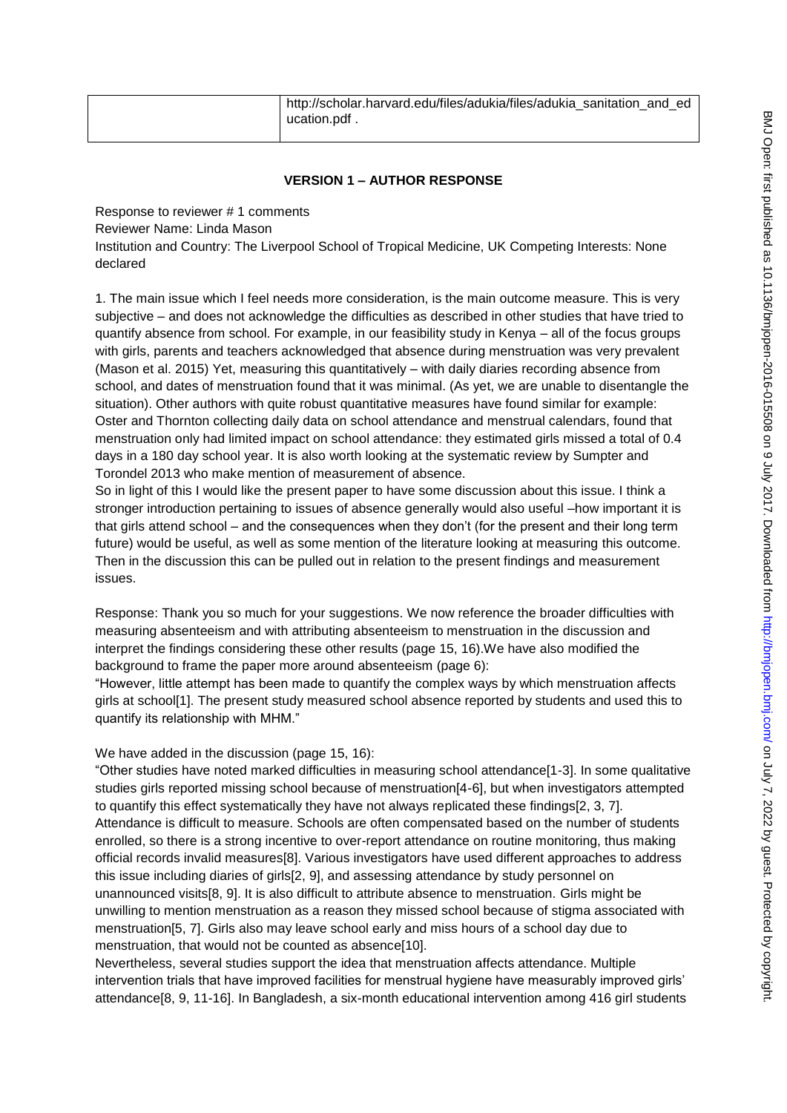| http://scholar.harvard.edu/files/adukia/files/adukia sanitation and ed<br>ucation.pdf. |
|----------------------------------------------------------------------------------------|
|----------------------------------------------------------------------------------------|

## **VERSION 1 – AUTHOR RESPONSE**

Response to reviewer # 1 comments Reviewer Name: Linda Mason Institution and Country: The Liverpool School of Tropical Medicine, UK Competing Interests: None declared

1. The main issue which I feel needs more consideration, is the main outcome measure. This is very subjective – and does not acknowledge the difficulties as described in other studies that have tried to quantify absence from school. For example, in our feasibility study in Kenya – all of the focus groups with girls, parents and teachers acknowledged that absence during menstruation was very prevalent (Mason et al. 2015) Yet, measuring this quantitatively – with daily diaries recording absence from school, and dates of menstruation found that it was minimal. (As yet, we are unable to disentangle the situation). Other authors with quite robust quantitative measures have found similar for example: Oster and Thornton collecting daily data on school attendance and menstrual calendars, found that menstruation only had limited impact on school attendance: they estimated girls missed a total of 0.4 days in a 180 day school year. It is also worth looking at the systematic review by Sumpter and Torondel 2013 who make mention of measurement of absence.

So in light of this I would like the present paper to have some discussion about this issue. I think a stronger introduction pertaining to issues of absence generally would also useful –how important it is that girls attend school – and the consequences when they don't (for the present and their long term future) would be useful, as well as some mention of the literature looking at measuring this outcome. Then in the discussion this can be pulled out in relation to the present findings and measurement issues.

Response: Thank you so much for your suggestions. We now reference the broader difficulties with measuring absenteeism and with attributing absenteeism to menstruation in the discussion and interpret the findings considering these other results (page 15, 16).We have also modified the background to frame the paper more around absenteeism (page 6):

―However, little attempt has been made to quantify the complex ways by which menstruation affects girls at school[1]. The present study measured school absence reported by students and used this to quantify its relationship with MHM."

### We have added in the discussion (page 15, 16):

―Other studies have noted marked difficulties in measuring school attendance[1-3]. In some qualitative studies girls reported missing school because of menstruation[4-6], but when investigators attempted to quantify this effect systematically they have not always replicated these findings[2, 3, 7]. Attendance is difficult to measure. Schools are often compensated based on the number of students enrolled, so there is a strong incentive to over-report attendance on routine monitoring, thus making official records invalid measures[8]. Various investigators have used different approaches to address this issue including diaries of girls[2, 9], and assessing attendance by study personnel on unannounced visits[8, 9]. It is also difficult to attribute absence to menstruation. Girls might be unwilling to mention menstruation as a reason they missed school because of stigma associated with menstruation[5, 7]. Girls also may leave school early and miss hours of a school day due to menstruation, that would not be counted as absence[10].

Nevertheless, several studies support the idea that menstruation affects attendance. Multiple intervention trials that have improved facilities for menstrual hygiene have measurably improved girls' attendance[8, 9, 11-16]. In Bangladesh, a six-month educational intervention among 416 girl students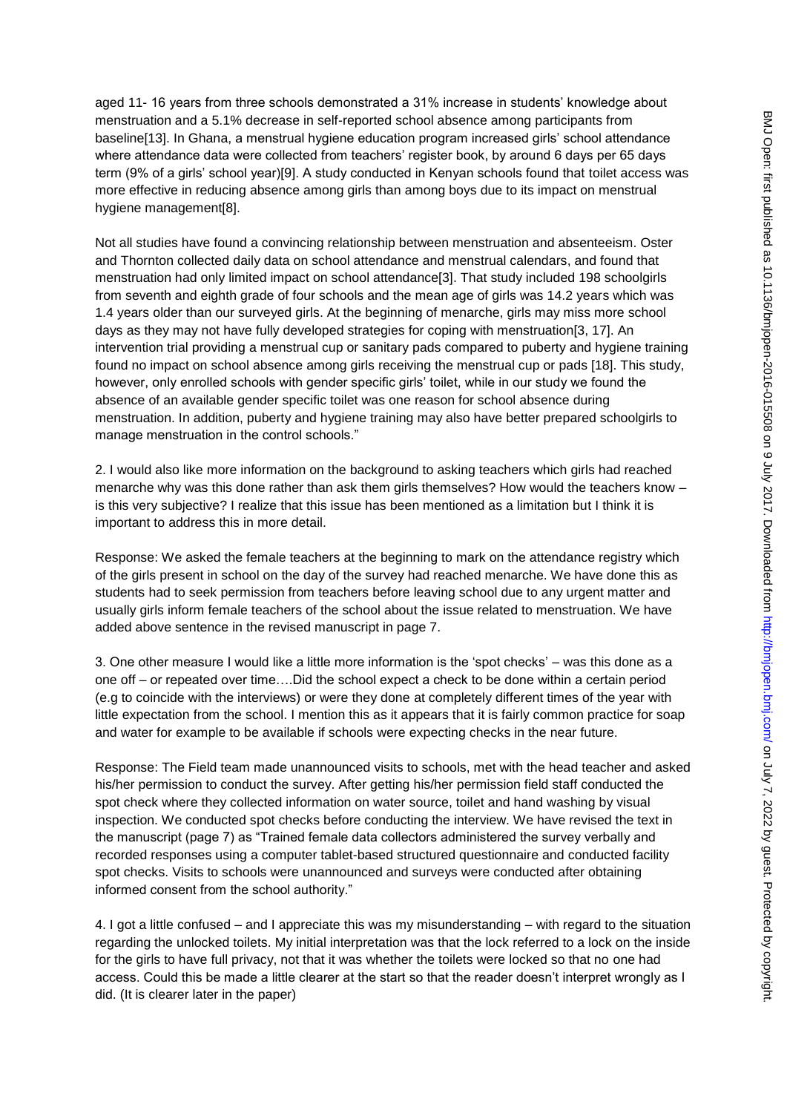aged 11- 16 years from three schools demonstrated a 31% increase in students' knowledge about menstruation and a 5.1% decrease in self-reported school absence among participants from baseline[13]. In Ghana, a menstrual hygiene education program increased girls' school attendance where attendance data were collected from teachers' register book, by around 6 days per 65 days term (9% of a girls' school year)[9]. A study conducted in Kenyan schools found that toilet access was more effective in reducing absence among girls than among boys due to its impact on menstrual hygiene management[8].

Not all studies have found a convincing relationship between menstruation and absenteeism. Oster and Thornton collected daily data on school attendance and menstrual calendars, and found that menstruation had only limited impact on school attendance[3]. That study included 198 schoolgirls from seventh and eighth grade of four schools and the mean age of girls was 14.2 years which was 1.4 years older than our surveyed girls. At the beginning of menarche, girls may miss more school days as they may not have fully developed strategies for coping with menstruation[3, 17]. An intervention trial providing a menstrual cup or sanitary pads compared to puberty and hygiene training found no impact on school absence among girls receiving the menstrual cup or pads [18]. This study, however, only enrolled schools with gender specific girls' toilet, while in our study we found the absence of an available gender specific toilet was one reason for school absence during menstruation. In addition, puberty and hygiene training may also have better prepared schoolgirls to manage menstruation in the control schools."

2. I would also like more information on the background to asking teachers which girls had reached menarche why was this done rather than ask them girls themselves? How would the teachers know is this very subjective? I realize that this issue has been mentioned as a limitation but I think it is important to address this in more detail.

Response: We asked the female teachers at the beginning to mark on the attendance registry which of the girls present in school on the day of the survey had reached menarche. We have done this as students had to seek permission from teachers before leaving school due to any urgent matter and usually girls inform female teachers of the school about the issue related to menstruation. We have added above sentence in the revised manuscript in page 7.

3. One other measure I would like a little more information is the 'spot checks' – was this done as a one off – or repeated over time….Did the school expect a check to be done within a certain period (e.g to coincide with the interviews) or were they done at completely different times of the year with little expectation from the school. I mention this as it appears that it is fairly common practice for soap and water for example to be available if schools were expecting checks in the near future.

Response: The Field team made unannounced visits to schools, met with the head teacher and asked his/her permission to conduct the survey. After getting his/her permission field staff conducted the spot check where they collected information on water source, toilet and hand washing by visual inspection. We conducted spot checks before conducting the interview. We have revised the text in the manuscript (page 7) as "Trained female data collectors administered the survey verbally and recorded responses using a computer tablet-based structured questionnaire and conducted facility spot checks. Visits to schools were unannounced and surveys were conducted after obtaining informed consent from the school authority."

4. I got a little confused – and I appreciate this was my misunderstanding – with regard to the situation regarding the unlocked toilets. My initial interpretation was that the lock referred to a lock on the inside for the girls to have full privacy, not that it was whether the toilets were locked so that no one had access. Could this be made a little clearer at the start so that the reader doesn't interpret wrongly as I did. (It is clearer later in the paper)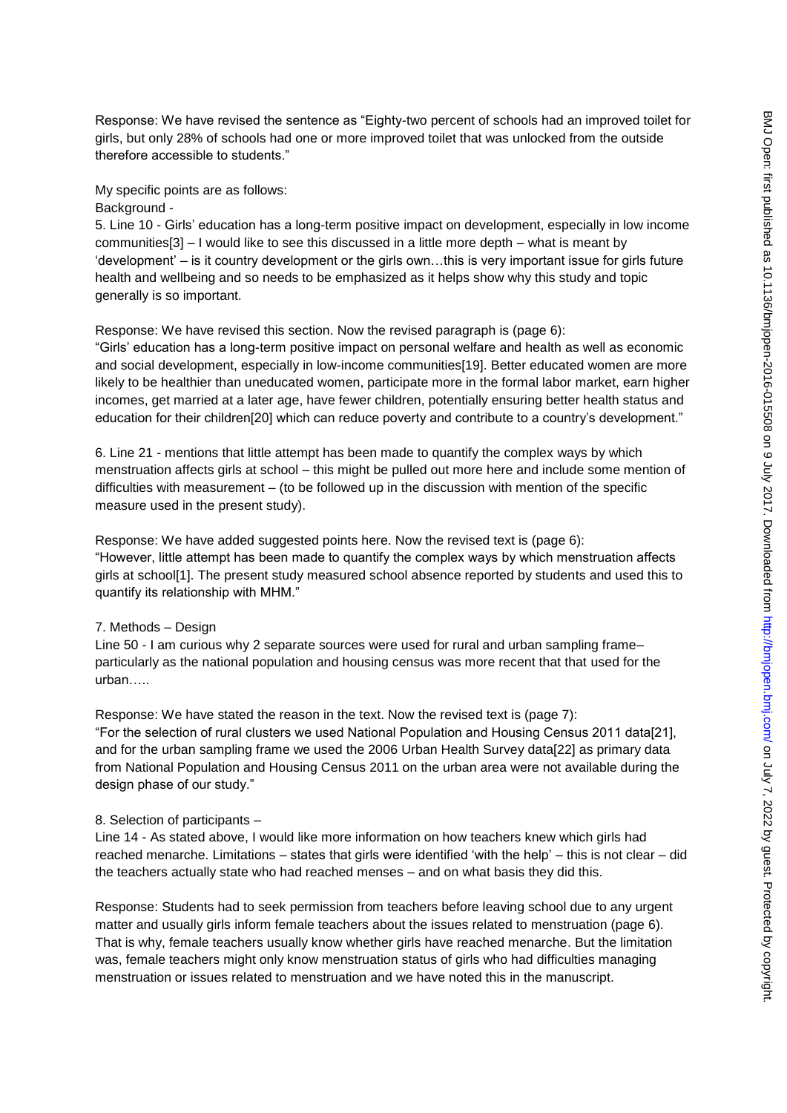Response: We have revised the sentence as "Eighty-two percent of schools had an improved toilet for girls, but only 28% of schools had one or more improved toilet that was unlocked from the outside therefore accessible to students."

My specific points are as follows:

Background -

5. Line 10 - Girls' education has a long-term positive impact on development, especially in low income communities[3] – I would like to see this discussed in a little more depth – what is meant by ‗development' – is it country development or the girls own…this is very important issue for girls future health and wellbeing and so needs to be emphasized as it helps show why this study and topic generally is so important.

Response: We have revised this section. Now the revised paragraph is (page 6):

―Girls' education has a long-term positive impact on personal welfare and health as well as economic and social development, especially in low-income communities[19]. Better educated women are more likely to be healthier than uneducated women, participate more in the formal labor market, earn higher incomes, get married at a later age, have fewer children, potentially ensuring better health status and education for their children[20] which can reduce poverty and contribute to a country's development."

6. Line 21 - mentions that little attempt has been made to quantify the complex ways by which menstruation affects girls at school – this might be pulled out more here and include some mention of difficulties with measurement – (to be followed up in the discussion with mention of the specific measure used in the present study).

Response: We have added suggested points here. Now the revised text is (page 6): ―However, little attempt has been made to quantify the complex ways by which menstruation affects girls at school[1]. The present study measured school absence reported by students and used this to quantify its relationship with MHM."

## 7. Methods – Design

Line 50 - I am curious why 2 separate sources were used for rural and urban sampling frame– particularly as the national population and housing census was more recent that that used for the urban…..

Response: We have stated the reason in the text. Now the revised text is (page 7): ―For the selection of rural clusters we used National Population and Housing Census 2011 data[21], and for the urban sampling frame we used the 2006 Urban Health Survey data[22] as primary data from National Population and Housing Census 2011 on the urban area were not available during the design phase of our study."

## 8. Selection of participants –

Line 14 - As stated above, I would like more information on how teachers knew which girls had reached menarche. Limitations – states that girls were identified 'with the help' – this is not clear – did the teachers actually state who had reached menses – and on what basis they did this.

Response: Students had to seek permission from teachers before leaving school due to any urgent matter and usually girls inform female teachers about the issues related to menstruation (page 6). That is why, female teachers usually know whether girls have reached menarche. But the limitation was, female teachers might only know menstruation status of girls who had difficulties managing menstruation or issues related to menstruation and we have noted this in the manuscript.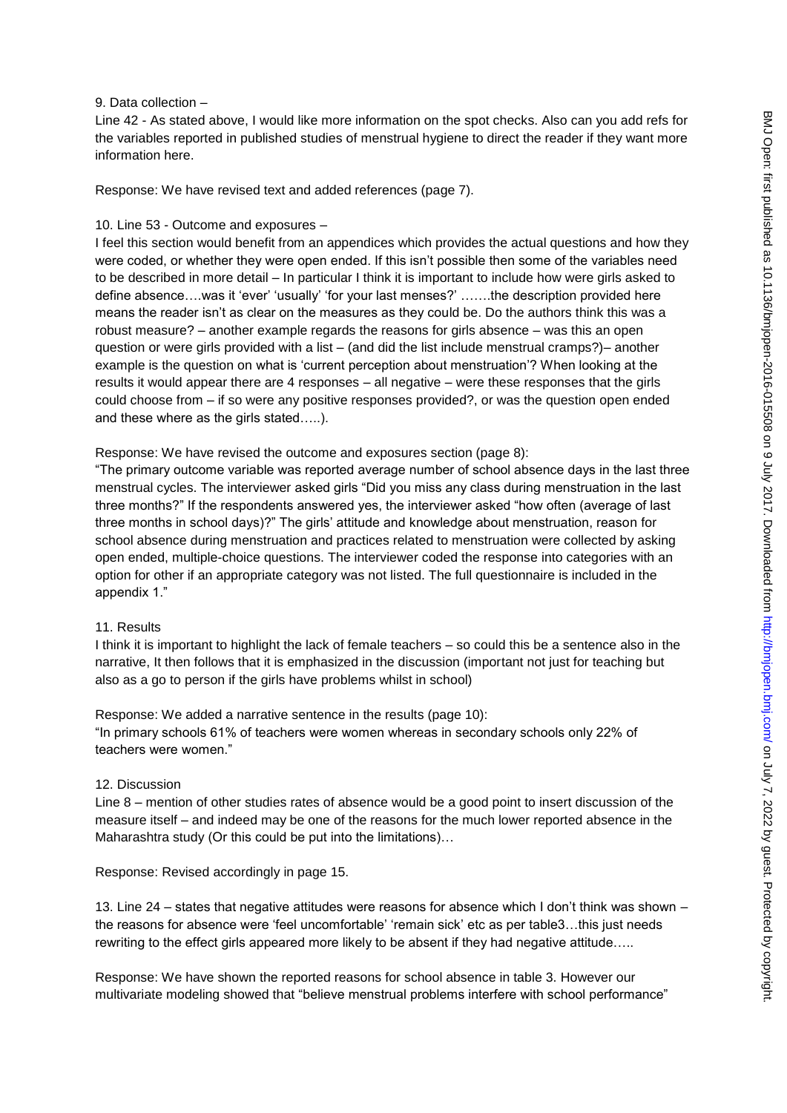### 9. Data collection –

Line 42 - As stated above, I would like more information on the spot checks. Also can you add refs for the variables reported in published studies of menstrual hygiene to direct the reader if they want more information here.

Response: We have revised text and added references (page 7).

### 10. Line 53 - Outcome and exposures –

I feel this section would benefit from an appendices which provides the actual questions and how they were coded, or whether they were open ended. If this isn't possible then some of the variables need to be described in more detail – In particular I think it is important to include how were girls asked to define absence….was it 'ever' 'usually' 'for your last menses?' …….the description provided here means the reader isn't as clear on the measures as they could be. Do the authors think this was a robust measure? – another example regards the reasons for girls absence – was this an open question or were girls provided with a list – (and did the list include menstrual cramps?)– another example is the question on what is 'current perception about menstruation'? When looking at the results it would appear there are 4 responses – all negative – were these responses that the girls could choose from – if so were any positive responses provided?, or was the question open ended and these where as the girls stated…..).

Response: We have revised the outcome and exposures section (page 8):

―The primary outcome variable was reported average number of school absence days in the last three menstrual cycles. The interviewer asked girls "Did you miss any class during menstruation in the last three months?" If the respondents answered yes, the interviewer asked "how often (average of last three months in school days)?‖ The girls' attitude and knowledge about menstruation, reason for school absence during menstruation and practices related to menstruation were collected by asking open ended, multiple-choice questions. The interviewer coded the response into categories with an option for other if an appropriate category was not listed. The full questionnaire is included in the appendix 1."

### 11. Results

I think it is important to highlight the lack of female teachers – so could this be a sentence also in the narrative, It then follows that it is emphasized in the discussion (important not just for teaching but also as a go to person if the girls have problems whilst in school)

Response: We added a narrative sentence in the results (page 10): "In primary schools 61% of teachers were women whereas in secondary schools only 22% of teachers were women."

#### 12. Discussion

Line 8 – mention of other studies rates of absence would be a good point to insert discussion of the measure itself – and indeed may be one of the reasons for the much lower reported absence in the Maharashtra study (Or this could be put into the limitations)…

Response: Revised accordingly in page 15.

13. Line 24 – states that negative attitudes were reasons for absence which I don't think was shown – the reasons for absence were 'feel uncomfortable' 'remain sick' etc as per table3...this just needs rewriting to the effect girls appeared more likely to be absent if they had negative attitude…..

Response: We have shown the reported reasons for school absence in table 3. However our multivariate modeling showed that "believe menstrual problems interfere with school performance"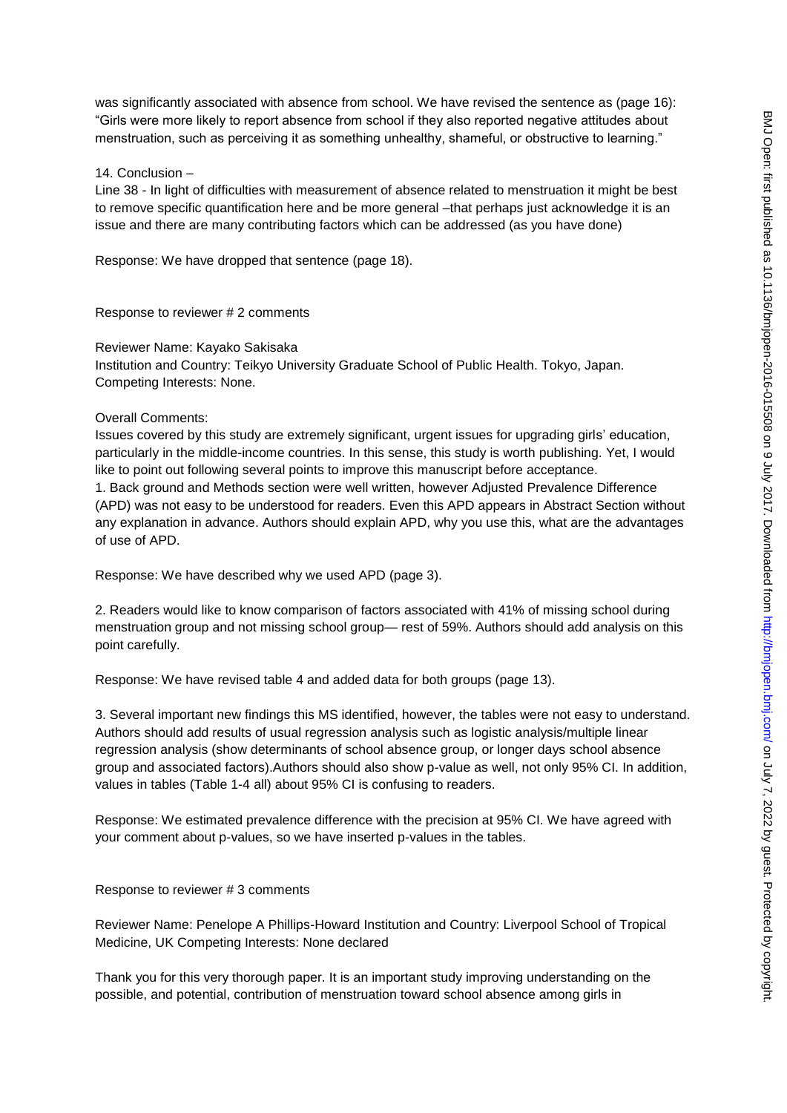was significantly associated with absence from school. We have revised the sentence as (page 16): ―Girls were more likely to report absence from school if they also reported negative attitudes about menstruation, such as perceiving it as something unhealthy, shameful, or obstructive to learning."

## 14. Conclusion –

Line 38 - In light of difficulties with measurement of absence related to menstruation it might be best to remove specific quantification here and be more general –that perhaps just acknowledge it is an issue and there are many contributing factors which can be addressed (as you have done)

Response: We have dropped that sentence (page 18).

### Response to reviewer # 2 comments

Reviewer Name: Kayako Sakisaka

Institution and Country: Teikyo University Graduate School of Public Health. Tokyo, Japan. Competing Interests: None.

### Overall Comments:

Issues covered by this study are extremely significant, urgent issues for upgrading girls' education, particularly in the middle-income countries. In this sense, this study is worth publishing. Yet, I would like to point out following several points to improve this manuscript before acceptance. 1. Back ground and Methods section were well written, however Adjusted Prevalence Difference (APD) was not easy to be understood for readers. Even this APD appears in Abstract Section without any explanation in advance. Authors should explain APD, why you use this, what are the advantages of use of APD.

Response: We have described why we used APD (page 3).

2. Readers would like to know comparison of factors associated with 41% of missing school during menstruation group and not missing school group— rest of 59%. Authors should add analysis on this point carefully.

Response: We have revised table 4 and added data for both groups (page 13).

3. Several important new findings this MS identified, however, the tables were not easy to understand. Authors should add results of usual regression analysis such as logistic analysis/multiple linear regression analysis (show determinants of school absence group, or longer days school absence group and associated factors).Authors should also show p-value as well, not only 95% CI. In addition, values in tables (Table 1-4 all) about 95% CI is confusing to readers.

Response: We estimated prevalence difference with the precision at 95% CI. We have agreed with your comment about p-values, so we have inserted p-values in the tables.

### Response to reviewer # 3 comments

Reviewer Name: Penelope A Phillips-Howard Institution and Country: Liverpool School of Tropical Medicine, UK Competing Interests: None declared

Thank you for this very thorough paper. It is an important study improving understanding on the possible, and potential, contribution of menstruation toward school absence among girls in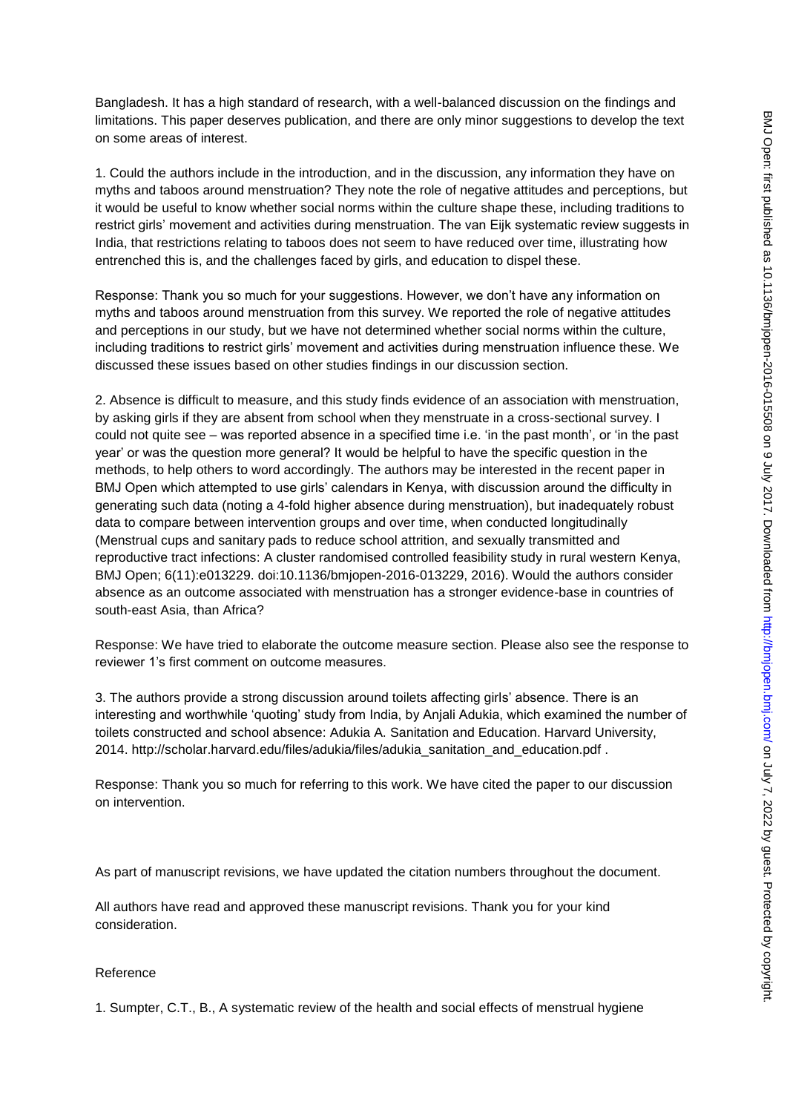Bangladesh. It has a high standard of research, with a well-balanced discussion on the findings and limitations. This paper deserves publication, and there are only minor suggestions to develop the text on some areas of interest.

1. Could the authors include in the introduction, and in the discussion, any information they have on myths and taboos around menstruation? They note the role of negative attitudes and perceptions, but it would be useful to know whether social norms within the culture shape these, including traditions to restrict girls' movement and activities during menstruation. The van Eijk systematic review suggests in India, that restrictions relating to taboos does not seem to have reduced over time, illustrating how entrenched this is, and the challenges faced by girls, and education to dispel these.

Response: Thank you so much for your suggestions. However, we don't have any information on myths and taboos around menstruation from this survey. We reported the role of negative attitudes and perceptions in our study, but we have not determined whether social norms within the culture, including traditions to restrict girls' movement and activities during menstruation influence these. We discussed these issues based on other studies findings in our discussion section.

2. Absence is difficult to measure, and this study finds evidence of an association with menstruation, by asking girls if they are absent from school when they menstruate in a cross-sectional survey. I could not quite see – was reported absence in a specified time i.e. 'in the past month', or 'in the past year' or was the question more general? It would be helpful to have the specific question in the methods, to help others to word accordingly. The authors may be interested in the recent paper in BMJ Open which attempted to use girls' calendars in Kenya, with discussion around the difficulty in generating such data (noting a 4-fold higher absence during menstruation), but inadequately robust data to compare between intervention groups and over time, when conducted longitudinally (Menstrual cups and sanitary pads to reduce school attrition, and sexually transmitted and reproductive tract infections: A cluster randomised controlled feasibility study in rural western Kenya, BMJ Open; 6(11):e013229. doi:10.1136/bmjopen-2016-013229, 2016). Would the authors consider absence as an outcome associated with menstruation has a stronger evidence-base in countries of south-east Asia, than Africa?

Response: We have tried to elaborate the outcome measure section. Please also see the response to reviewer 1's first comment on outcome measures.

3. The authors provide a strong discussion around toilets affecting girls' absence. There is an interesting and worthwhile 'quoting' study from India, by Anjali Adukia, which examined the number of toilets constructed and school absence: Adukia A. Sanitation and Education. Harvard University, 2014. http://scholar.harvard.edu/files/adukia/files/adukia\_sanitation\_and\_education.pdf .

Response: Thank you so much for referring to this work. We have cited the paper to our discussion on intervention.

As part of manuscript revisions, we have updated the citation numbers throughout the document.

All authors have read and approved these manuscript revisions. Thank you for your kind consideration.

### Reference

1. Sumpter, C.T., B., A systematic review of the health and social effects of menstrual hygiene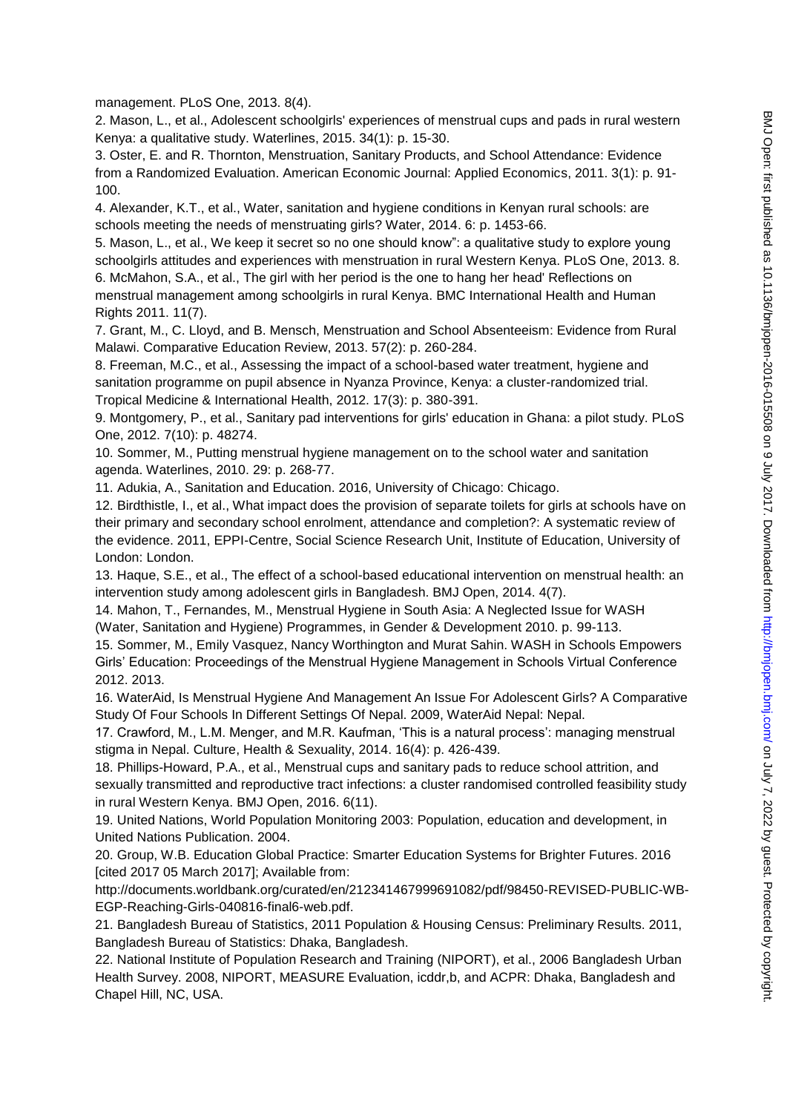management. PLoS One, 2013. 8(4).

2. Mason, L., et al., Adolescent schoolgirls' experiences of menstrual cups and pads in rural western Kenya: a qualitative study. Waterlines, 2015. 34(1): p. 15-30.

3. Oster, E. and R. Thornton, Menstruation, Sanitary Products, and School Attendance: Evidence from a Randomized Evaluation. American Economic Journal: Applied Economics, 2011. 3(1): p. 91- 100.

4. Alexander, K.T., et al., Water, sanitation and hygiene conditions in Kenyan rural schools: are schools meeting the needs of menstruating girls? Water, 2014. 6: p. 1453-66.

5. Mason, L., et al., We keep it secret so no one should know‖: a qualitative study to explore young schoolgirls attitudes and experiences with menstruation in rural Western Kenya. PLoS One, 2013. 8. 6. McMahon, S.A., et al., The girl with her period is the one to hang her head' Reflections on

menstrual management among schoolgirls in rural Kenya. BMC International Health and Human Rights 2011. 11(7).

7. Grant, M., C. Lloyd, and B. Mensch, Menstruation and School Absenteeism: Evidence from Rural Malawi. Comparative Education Review, 2013. 57(2): p. 260-284.

8. Freeman, M.C., et al., Assessing the impact of a school-based water treatment, hygiene and sanitation programme on pupil absence in Nyanza Province, Kenya: a cluster-randomized trial. Tropical Medicine & International Health, 2012. 17(3): p. 380-391.

9. Montgomery, P., et al., Sanitary pad interventions for girls' education in Ghana: a pilot study. PLoS One, 2012. 7(10): p. 48274.

10. Sommer, M., Putting menstrual hygiene management on to the school water and sanitation agenda. Waterlines, 2010. 29: p. 268-77.

11. Adukia, A., Sanitation and Education. 2016, University of Chicago: Chicago.

12. Birdthistle, I., et al., What impact does the provision of separate toilets for girls at schools have on their primary and secondary school enrolment, attendance and completion?: A systematic review of the evidence. 2011, EPPI-Centre, Social Science Research Unit, Institute of Education, University of London: London.

13. Haque, S.E., et al., The effect of a school-based educational intervention on menstrual health: an intervention study among adolescent girls in Bangladesh. BMJ Open, 2014. 4(7).

14. Mahon, T., Fernandes, M., Menstrual Hygiene in South Asia: A Neglected Issue for WASH (Water, Sanitation and Hygiene) Programmes, in Gender & Development 2010. p. 99-113.

15. Sommer, M., Emily Vasquez, Nancy Worthington and Murat Sahin. WASH in Schools Empowers Girls' Education: Proceedings of the Menstrual Hygiene Management in Schools Virtual Conference 2012. 2013.

16. WaterAid, Is Menstrual Hygiene And Management An Issue For Adolescent Girls? A Comparative Study Of Four Schools In Different Settings Of Nepal. 2009, WaterAid Nepal: Nepal.

17. Crawford, M., L.M. Menger, and M.R. Kaufman, ‗This is a natural process': managing menstrual stigma in Nepal. Culture, Health & Sexuality, 2014. 16(4): p. 426-439.

18. Phillips-Howard, P.A., et al., Menstrual cups and sanitary pads to reduce school attrition, and sexually transmitted and reproductive tract infections: a cluster randomised controlled feasibility study in rural Western Kenya. BMJ Open, 2016. 6(11).

19. United Nations, World Population Monitoring 2003: Population, education and development, in United Nations Publication. 2004.

20. Group, W.B. Education Global Practice: Smarter Education Systems for Brighter Futures. 2016 [cited 2017 05 March 2017]; Available from:

http://documents.worldbank.org/curated/en/212341467999691082/pdf/98450-REVISED-PUBLIC-WB-EGP-Reaching-Girls-040816-final6-web.pdf.

21. Bangladesh Bureau of Statistics, 2011 Population & Housing Census: Preliminary Results. 2011, Bangladesh Bureau of Statistics: Dhaka, Bangladesh.

22. National Institute of Population Research and Training (NIPORT), et al., 2006 Bangladesh Urban Health Survey. 2008, NIPORT, MEASURE Evaluation, icddr,b, and ACPR: Dhaka, Bangladesh and Chapel Hill, NC, USA.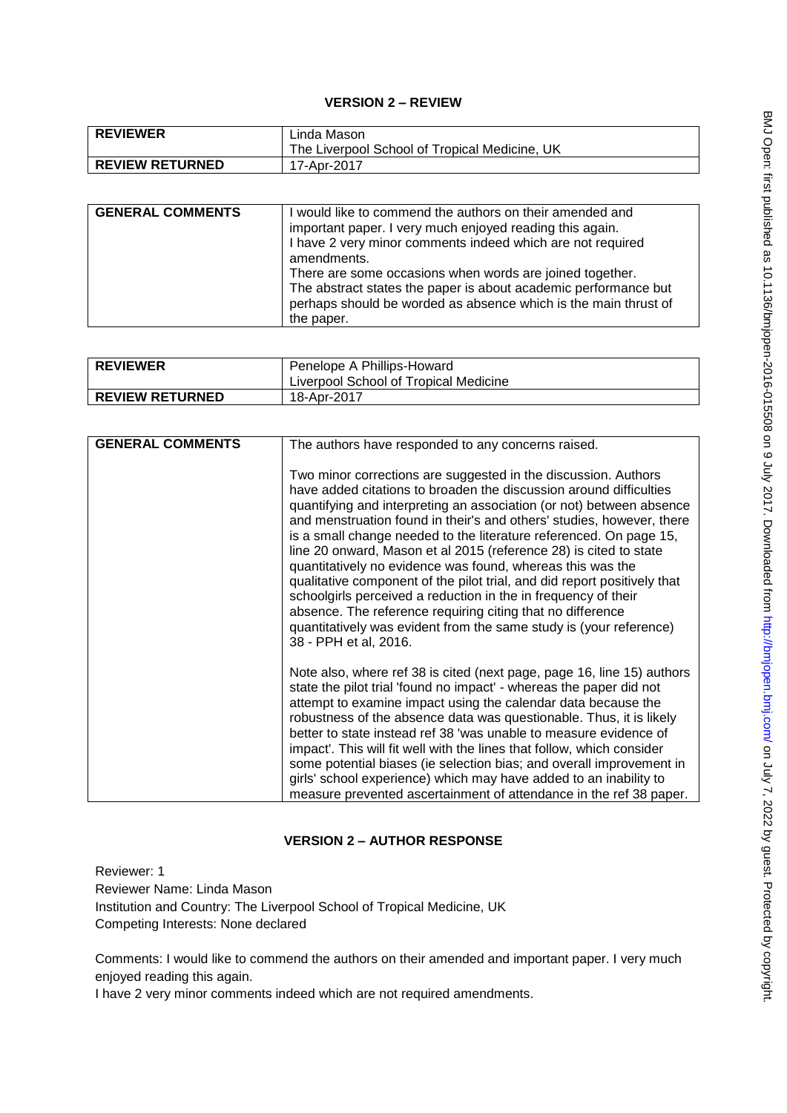## **VERSION 2 – REVIEW**

| <b>REVIEWER</b>        | Linda Mason                                   |
|------------------------|-----------------------------------------------|
|                        | The Liverpool School of Tropical Medicine, UK |
| <b>REVIEW RETURNED</b> | 17-Apr-2017                                   |

| <b>GENERAL COMMENTS</b> | I would like to commend the authors on their amended and<br>important paper. I very much enjoyed reading this again.<br>I have 2 very minor comments indeed which are not required<br>amendments.            |
|-------------------------|--------------------------------------------------------------------------------------------------------------------------------------------------------------------------------------------------------------|
|                         | There are some occasions when words are joined together.<br>The abstract states the paper is about academic performance but<br>perhaps should be worded as absence which is the main thrust of<br>the paper. |

| <b>REVIEWER</b>        | Penelope A Phillips-Howard<br>Liverpool School of Tropical Medicine |
|------------------------|---------------------------------------------------------------------|
| <b>REVIEW RETURNED</b> | 18-Apr-2017                                                         |

| <b>GENERAL COMMENTS</b> | The authors have responded to any concerns raised.                                                                                                                                                                                                                                                                                                                                                                                                                                                                                                                                                                                                                                                                                                                                                        |
|-------------------------|-----------------------------------------------------------------------------------------------------------------------------------------------------------------------------------------------------------------------------------------------------------------------------------------------------------------------------------------------------------------------------------------------------------------------------------------------------------------------------------------------------------------------------------------------------------------------------------------------------------------------------------------------------------------------------------------------------------------------------------------------------------------------------------------------------------|
|                         |                                                                                                                                                                                                                                                                                                                                                                                                                                                                                                                                                                                                                                                                                                                                                                                                           |
|                         | Two minor corrections are suggested in the discussion. Authors<br>have added citations to broaden the discussion around difficulties<br>quantifying and interpreting an association (or not) between absence<br>and menstruation found in their's and others' studies, however, there<br>is a small change needed to the literature referenced. On page 15,<br>line 20 onward, Mason et al 2015 (reference 28) is cited to state<br>quantitatively no evidence was found, whereas this was the<br>qualitative component of the pilot trial, and did report positively that<br>schoolgirls perceived a reduction in the in frequency of their<br>absence. The reference requiring citing that no difference<br>quantitatively was evident from the same study is (your reference)<br>38 - PPH et al, 2016. |
|                         | Note also, where ref 38 is cited (next page, page 16, line 15) authors<br>state the pilot trial 'found no impact' - whereas the paper did not<br>attempt to examine impact using the calendar data because the<br>robustness of the absence data was questionable. Thus, it is likely<br>better to state instead ref 38 'was unable to measure evidence of<br>impact'. This will fit well with the lines that follow, which consider<br>some potential biases (ie selection bias; and overall improvement in<br>girls' school experience) which may have added to an inability to<br>measure prevented ascertainment of attendance in the ref 38 paper.                                                                                                                                                   |

# **VERSION 2 – AUTHOR RESPONSE**

Reviewer: 1 Reviewer Name: Linda Mason Institution and Country: The Liverpool School of Tropical Medicine, UK Competing Interests: None declared

Comments: I would like to commend the authors on their amended and important paper. I very much enjoyed reading this again.

I have 2 very minor comments indeed which are not required amendments.